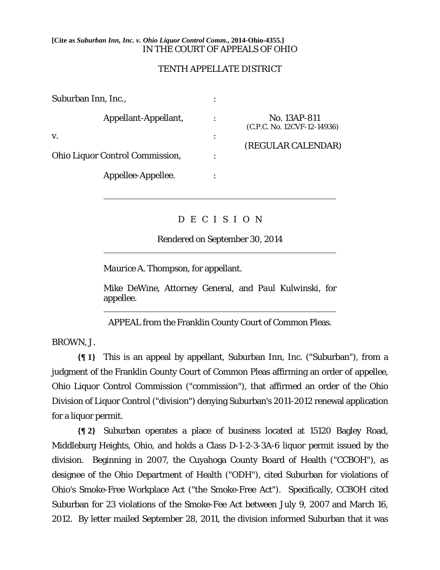## **[Cite as** *Suburban Inn, Inc. v. Ohio Liquor Control Comm.***, 2014-Ohio-4355.]** IN THE COURT OF APPEALS OF OHIO

## TENTH APPELLATE DISTRICT

| Suburban Inn, Inc.,                    |   |                                             |
|----------------------------------------|---|---------------------------------------------|
| Appellant-Appellant,                   |   | No. 13AP-811<br>(C.P.C. No. 12CVF-12-14936) |
| V.                                     | ٠ |                                             |
| <b>Ohio Liquor Control Commission,</b> |   | (REGULAR CALENDAR)                          |
| Appellee-Appellee.                     |   |                                             |

## D E C I S I O N

Rendered on September 30, 2014

*Maurice A. Thompson*, for appellant.

*Mike DeWine*, Attorney General, and *Paul Kulwinski*, for appellee.  $\overline{a}$ 

APPEAL from the Franklin County Court of Common Pleas.

BROWN, J.

 $\overline{a}$ 

 $\overline{a}$ 

**{¶ 1}** This is an appeal by appellant, Suburban Inn, Inc. ("Suburban"), from a judgment of the Franklin County Court of Common Pleas affirming an order of appellee, Ohio Liquor Control Commission ("commission"), that affirmed an order of the Ohio Division of Liquor Control ("division") denying Suburban's 2011-2012 renewal application for a liquor permit.

**{¶ 2}** Suburban operates a place of business located at 15120 Bagley Road, Middleburg Heights, Ohio, and holds a Class D-1-2-3-3A-6 liquor permit issued by the division. Beginning in 2007, the Cuyahoga County Board of Health ("CCBOH"), as designee of the Ohio Department of Health ("ODH"), cited Suburban for violations of Ohio's Smoke-Free Workplace Act ("the Smoke-Free Act"). Specifically, CCBOH cited Suburban for 23 violations of the Smoke-Fee Act between July 9, 2007 and March 16, 2012. By letter mailed September 28, 2011, the division informed Suburban that it was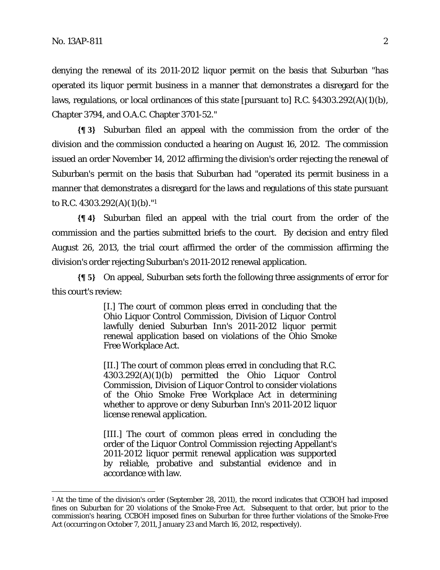<u>.</u>

denying the renewal of its 2011-2012 liquor permit on the basis that Suburban "has operated its liquor permit business in a manner that demonstrates a disregard for the laws, regulations, or local ordinances of this state [pursuant to] R.C. §4303.292(A)(1)(b), Chapter 3794, and O.A.C. Chapter 3701-52."

**{¶ 3}** Suburban filed an appeal with the commission from the order of the division and the commission conducted a hearing on August 16, 2012. The commission issued an order November 14, 2012 affirming the division's order rejecting the renewal of Suburban's permit on the basis that Suburban had "operated its permit business in a manner that demonstrates a disregard for the laws and regulations of this state pursuant to R.C. 4303.292(A)(1)(b)."1

**{¶ 4}** Suburban filed an appeal with the trial court from the order of the commission and the parties submitted briefs to the court. By decision and entry filed August 26, 2013, the trial court affirmed the order of the commission affirming the division's order rejecting Suburban's 2011-2012 renewal application.

**{¶ 5}** On appeal, Suburban sets forth the following three assignments of error for this court's review:

> [I.] The court of common pleas erred in concluding that the Ohio Liquor Control Commission, Division of Liquor Control lawfully denied Suburban Inn's 2011-2012 liquor permit renewal application based on violations of the Ohio Smoke Free Workplace Act.

> [II.] The court of common pleas erred in concluding that R.C. 4303.292(A)(1)(b) permitted the Ohio Liquor Control Commission, Division of Liquor Control to consider violations of the Ohio Smoke Free Workplace Act in determining whether to approve or deny Suburban Inn's 2011-2012 liquor license renewal application.

> [III.] The court of common pleas erred in concluding the order of the Liquor Control Commission rejecting Appellant's 2011-2012 liquor permit renewal application was supported by reliable, probative and substantial evidence and in accordance with law.

<sup>&</sup>lt;sup>1</sup> At the time of the division's order (September 28, 2011), the record indicates that CCBOH had imposed fines on Suburban for 20 violations of the Smoke-Free Act. Subsequent to that order, but prior to the commission's hearing, CCBOH imposed fines on Suburban for three further violations of the Smoke-Free Act (occurring on October 7, 2011, January 23 and March 16, 2012, respectively).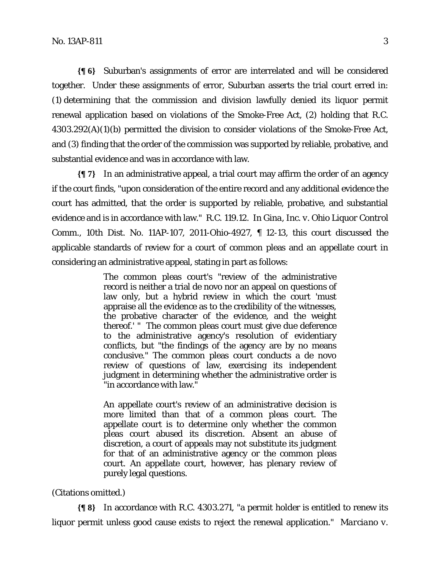**{¶ 6}** Suburban's assignments of error are interrelated and will be considered together. Under these assignments of error, Suburban asserts the trial court erred in: (1) determining that the commission and division lawfully denied its liquor permit renewal application based on violations of the Smoke-Free Act, (2) holding that R.C. 4303.292(A)(1)(b) permitted the division to consider violations of the Smoke-Free Act, and (3) finding that the order of the commission was supported by reliable, probative, and substantial evidence and was in accordance with law.

**{¶ 7}** In an administrative appeal, a trial court may affirm the order of an agency if the court finds, "upon consideration of the entire record and any additional evidence the court has admitted, that the order is supported by reliable, probative, and substantial evidence and is in accordance with law." R.C. 119.12. In *Gina, Inc. v. Ohio Liquor Control Comm*., 10th Dist. No. 11AP-107, 2011-Ohio-4927, ¶ 12-13, this court discussed the applicable standards of review for a court of common pleas and an appellate court in considering an administrative appeal, stating in part as follows:

> The common pleas court's "review of the administrative record is neither a trial de novo nor an appeal on questions of law only, but a hybrid review in which the court 'must appraise all the evidence as to the credibility of the witnesses, the probative character of the evidence, and the weight thereof.' " The common pleas court must give due deference to the administrative agency's resolution of evidentiary conflicts, but "the findings of the agency are by no means conclusive." The common pleas court conducts a de novo review of questions of law, exercising its independent judgment in determining whether the administrative order is "in accordance with law."

> An appellate court's review of an administrative decision is more limited than that of a common pleas court. The appellate court is to determine only whether the common pleas court abused its discretion. Absent an abuse of discretion, a court of appeals may not substitute its judgment for that of an administrative agency or the common pleas court. An appellate court, however, has plenary review of purely legal questions.

## (Citations omitted.)

**{¶ 8}** In accordance with R.C. 4303.271, "a permit holder is entitled to renew its liquor permit unless good cause exists to reject the renewal application." *Marciano v.*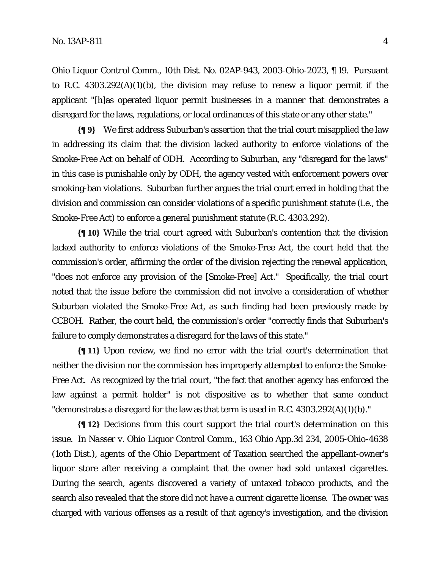*Ohio Liquor Control Comm.,* 10th Dist. No. 02AP-943, 2003-Ohio-2023, ¶ 19. Pursuant to R.C. 4303.292(A)(1)(b), the division may refuse to renew a liquor permit if the applicant "[h]as operated liquor permit businesses in a manner that demonstrates a disregard for the laws, regulations, or local ordinances of this state or any other state."

**{¶ 9}** We first address Suburban's assertion that the trial court misapplied the law in addressing its claim that the division lacked authority to enforce violations of the Smoke-Free Act on behalf of ODH. According to Suburban, any "disregard for the laws" in this case is punishable only by ODH, the agency vested with enforcement powers over smoking-ban violations. Suburban further argues the trial court erred in holding that the division and commission can consider violations of a specific punishment statute (i.e., the Smoke-Free Act) to enforce a general punishment statute (R.C. 4303.292).

**{¶ 10}** While the trial court agreed with Suburban's contention that the division lacked authority to enforce violations of the Smoke-Free Act, the court held that the commission's order, affirming the order of the division rejecting the renewal application, "does not enforce any provision of the [Smoke-Free] Act." Specifically, the trial court noted that the issue before the commission did not involve a consideration of whether Suburban violated the Smoke-Free Act, as such finding had been previously made by CCBOH. Rather, the court held, the commission's order "correctly finds that Suburban's failure to comply demonstrates a disregard for the laws of this state."

**{¶ 11}** Upon review, we find no error with the trial court's determination that neither the division nor the commission has improperly attempted to enforce the Smoke-Free Act. As recognized by the trial court, "the fact that another agency has enforced the law against a permit holder" is not dispositive as to whether that same conduct "demonstrates a disregard for the law as that term is used in R.C. 4303.292(A)(1)(b)."

**{¶ 12}** Decisions from this court support the trial court's determination on this issue. In *Nasser v. Ohio Liquor Control Comm.,* 163 Ohio App.3d 234, 2005-Ohio-4638 (1oth Dist.), agents of the Ohio Department of Taxation searched the appellant-owner's liquor store after receiving a complaint that the owner had sold untaxed cigarettes. During the search, agents discovered a variety of untaxed tobacco products, and the search also revealed that the store did not have a current cigarette license. The owner was charged with various offenses as a result of that agency's investigation, and the division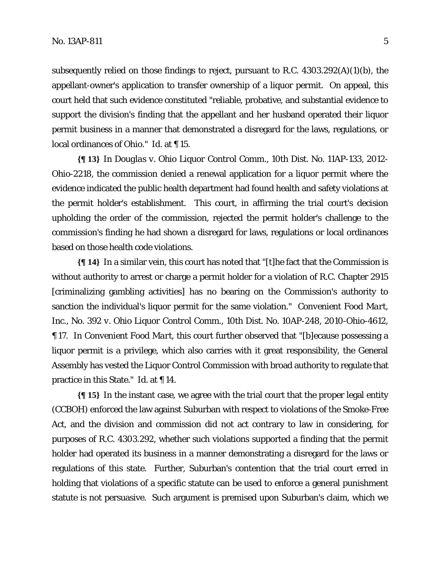subsequently relied on those findings to reject, pursuant to R.C. 4303.292(A)(1)(b), the appellant-owner's application to transfer ownership of a liquor permit. On appeal, this court held that such evidence constituted "reliable, probative, and substantial evidence to support the division's finding that the appellant and her husband operated their liquor permit business in a manner that demonstrated a disregard for the laws, regulations, or local ordinances of Ohio." *Id.* at ¶ 15.

**{¶ 13}** In *Douglas v. Ohio Liquor Control Comm.,* 10th Dist. No. 11AP-133, 2012- Ohio-2218, the commission denied a renewal application for a liquor permit where the evidence indicated the public health department had found health and safety violations at the permit holder's establishment. This court, in affirming the trial court's decision upholding the order of the commission, rejected the permit holder's challenge to the commission's finding he had shown a disregard for laws, regulations or local ordinances based on those health code violations.

**{¶ 14}** In a similar vein, this court has noted that "[t]he fact that the Commission is without authority to arrest or charge a permit holder for a violation of R.C. Chapter 2915 [criminalizing gambling activities] has no bearing on the Commission's authority to sanction the individual's liquor permit for the same violation." *Convenient Food Mart, Inc., No. 392 v. Ohio Liquor Control Comm.,* 10th Dist. No. 10AP-248, 2010-Ohio-4612, ¶ 17. In *Convenient Food Mart,* this court further observed that "[b]ecause possessing a liquor permit is a privilege, which also carries with it great responsibility, the General Assembly has vested the Liquor Control Commission with broad authority to regulate that practice in this State." *Id*. at ¶ 14.

**{¶ 15}** In the instant case, we agree with the trial court that the proper legal entity (CCBOH) enforced the law against Suburban with respect to violations of the Smoke-Free Act, and the division and commission did not act contrary to law in considering, for purposes of R.C. 4303.292, whether such violations supported a finding that the permit holder had operated its business in a manner demonstrating a disregard for the laws or regulations of this state. Further, Suburban's contention that the trial court erred in holding that violations of a specific statute can be used to enforce a general punishment statute is not persuasive. Such argument is premised upon Suburban's claim, which we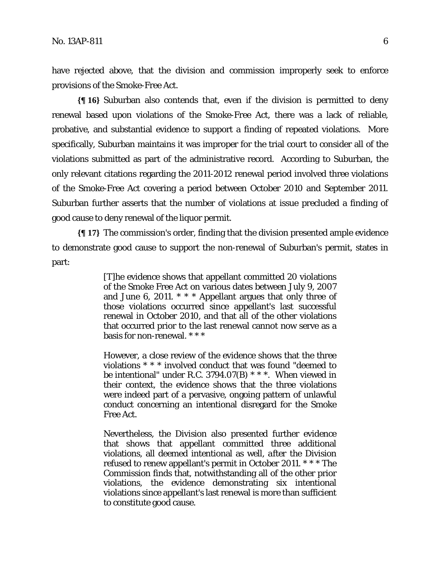have rejected above, that the division and commission improperly seek to enforce provisions of the Smoke-Free Act.

**{¶ 16}** Suburban also contends that, even if the division is permitted to deny renewal based upon violations of the Smoke-Free Act, there was a lack of reliable, probative, and substantial evidence to support a finding of repeated violations. More specifically, Suburban maintains it was improper for the trial court to consider all of the violations submitted as part of the administrative record. According to Suburban, the only relevant citations regarding the 2011-2012 renewal period involved three violations of the Smoke-Free Act covering a period between October 2010 and September 2011. Suburban further asserts that the number of violations at issue precluded a finding of good cause to deny renewal of the liquor permit.

**{¶ 17}** The commission's order, finding that the division presented ample evidence to demonstrate good cause to support the non-renewal of Suburban's permit, states in part:

> [T]he evidence shows that appellant committed 20 violations of the Smoke Free Act on various dates between July 9, 2007 and June 6, 2011. \* \* \* Appellant argues that only three of those violations occurred since appellant's last successful renewal in October 2010, and that all of the other violations that occurred prior to the last renewal cannot now serve as a basis for non-renewal. \* \* \*

> However, a close review of the evidence shows that the three violations \* \* \* involved conduct that was found "deemed to be intentional" under R.C. 3794.07(B) \* \* \*. When viewed in their context, the evidence shows that the three violations were indeed part of a pervasive, ongoing pattern of unlawful conduct concerning an intentional disregard for the Smoke Free Act.

> Nevertheless, the Division also presented further evidence that shows that appellant committed three additional violations, all deemed intentional as well, *after* the Division refused to renew appellant's permit in October 2011. \* \* \* The Commission finds that, notwithstanding all of the other prior violations, the evidence demonstrating six intentional violations since appellant's last renewal is more than sufficient to constitute good cause.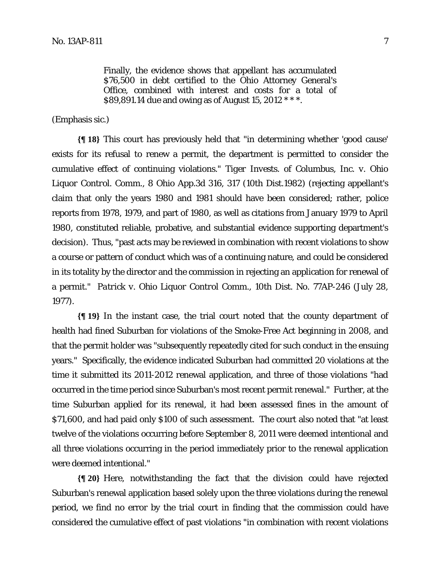Finally, the evidence shows that appellant has accumulated \$76,500 in debt certified to the Ohio Attorney General's Office, combined with interest and costs for a total of \$89,891.14 due and owing as of August 15, 2012 \* \* \*.

(Emphasis sic.)

**{¶ 18}** This court has previously held that "in determining whether 'good cause' exists for its refusal to renew a permit, the department is permitted to consider the cumulative effect of continuing violations." *Tiger Invests. of Columbus, Inc. v. Ohio Liquor Control. Comm.,* 8 Ohio App.3d 316, 317 (10th Dist.1982) (rejecting appellant's claim that only the years 1980 and 1981 should have been considered; rather, police reports from 1978, 1979, and part of 1980, as well as citations from January 1979 to April 1980, constituted reliable, probative, and substantial evidence supporting department's decision). Thus, "past acts may be reviewed in combination with recent violations to show a course or pattern of conduct which was of a continuing nature, and could be considered in its totality by the director and the commission in rejecting an application for renewal of a permit." *Patrick v. Ohio Liquor Control Comm.,* 10th Dist. No. 77AP-246 (July 28, 1977).

**{¶ 19}** In the instant case, the trial court noted that the county department of health had fined Suburban for violations of the Smoke-Free Act beginning in 2008, and that the permit holder was "subsequently repeatedly cited for such conduct in the ensuing years." Specifically, the evidence indicated Suburban had committed 20 violations at the time it submitted its 2011-2012 renewal application, and three of those violations "had occurred in the time period since Suburban's most recent permit renewal." Further, at the time Suburban applied for its renewal, it had been assessed fines in the amount of \$71,600, and had paid only \$100 of such assessment. The court also noted that "at least twelve of the violations occurring before September 8, 2011 were deemed intentional and all three violations occurring in the period immediately prior to the renewal application were deemed intentional."

**{¶ 20}** Here, notwithstanding the fact that the division could have rejected Suburban's renewal application based solely upon the three violations during the renewal period, we find no error by the trial court in finding that the commission could have considered the cumulative effect of past violations "in combination with recent violations